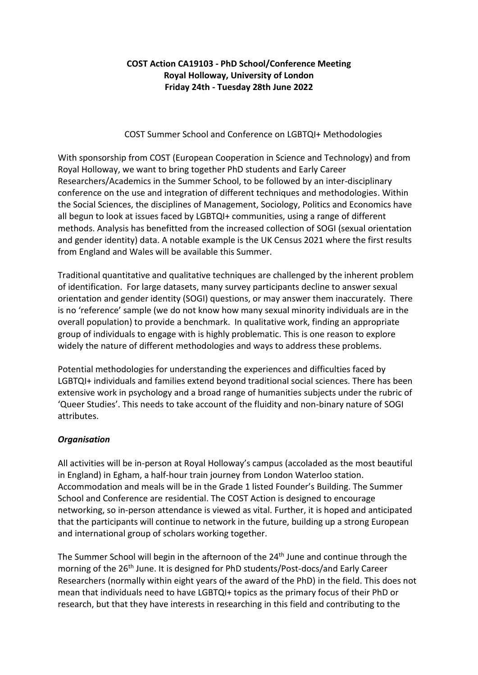## **COST Action CA19103 - PhD School/Conference Meeting Royal Holloway, University of London Friday 24th - Tuesday 28th June 2022**

COST Summer School and Conference on LGBTQI+ Methodologies

With sponsorship from COST (European Cooperation in Science and Technology) and from Royal Holloway, we want to bring together PhD students and Early Career Researchers/Academics in the Summer School, to be followed by an inter-disciplinary conference on the use and integration of different techniques and methodologies. Within the Social Sciences, the disciplines of Management, Sociology, Politics and Economics have all begun to look at issues faced by LGBTQI+ communities, using a range of different methods. Analysis has benefitted from the increased collection of SOGI (sexual orientation and gender identity) data. A notable example is the UK Census 2021 where the first results from England and Wales will be available this Summer.

Traditional quantitative and qualitative techniques are challenged by the inherent problem of identification. For large datasets, many survey participants decline to answer sexual orientation and gender identity (SOGI) questions, or may answer them inaccurately. There is no 'reference' sample (we do not know how many sexual minority individuals are in the overall population) to provide a benchmark. In qualitative work, finding an appropriate group of individuals to engage with is highly problematic. This is one reason to explore widely the nature of different methodologies and ways to address these problems.

Potential methodologies for understanding the experiences and difficulties faced by LGBTQI+ individuals and families extend beyond traditional social sciences. There has been extensive work in psychology and a broad range of humanities subjects under the rubric of 'Queer Studies'. This needs to take account of the fluidity and non-binary nature of SOGI attributes.

## *Organisation*

All activities will be in-person at Royal Holloway's campus (accoladed as the most beautiful in England) in Egham, a half-hour train journey from London Waterloo station. Accommodation and meals will be in the Grade 1 listed Founder's Building. The Summer School and Conference are residential. The COST Action is designed to encourage networking, so in-person attendance is viewed as vital. Further, it is hoped and anticipated that the participants will continue to network in the future, building up a strong European and international group of scholars working together.

The Summer School will begin in the afternoon of the 24<sup>th</sup> June and continue through the morning of the 26<sup>th</sup> June. It is designed for PhD students/Post-docs/and Early Career Researchers (normally within eight years of the award of the PhD) in the field. This does not mean that individuals need to have LGBTQI+ topics as the primary focus of their PhD or research, but that they have interests in researching in this field and contributing to the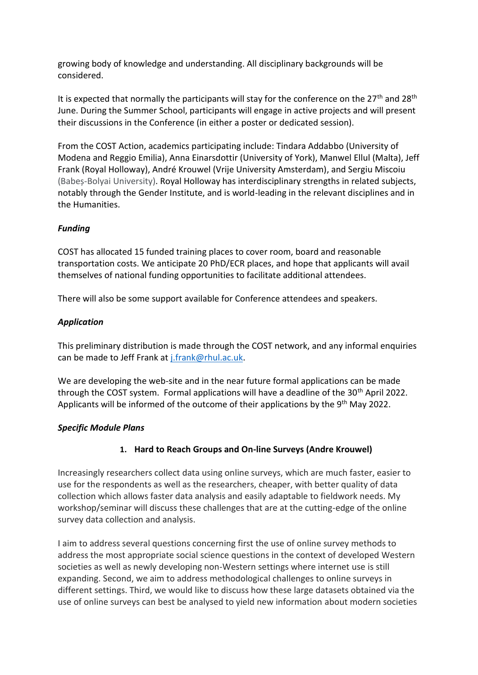growing body of knowledge and understanding. All disciplinary backgrounds will be considered.

It is expected that normally the participants will stay for the conference on the  $27<sup>th</sup>$  and  $28<sup>th</sup>$ June. During the Summer School, participants will engage in active projects and will present their discussions in the Conference (in either a poster or dedicated session).

From the COST Action, academics participating include: Tindara Addabbo (University of Modena and Reggio Emilia), Anna Einarsdottir (University of York), Manwel Ellul (Malta), Jeff Frank (Royal Holloway), André Krouwel (Vrije University Amsterdam), and Sergiu Miscoiu (Babeș-Bolyai University). Royal Holloway has interdisciplinary strengths in related subjects, notably through the Gender Institute, and is world-leading in the relevant disciplines and in the Humanities.

## *Funding*

COST has allocated 15 funded training places to cover room, board and reasonable transportation costs. We anticipate 20 PhD/ECR places, and hope that applicants will avail themselves of national funding opportunities to facilitate additional attendees.

There will also be some support available for Conference attendees and speakers.

## *Application*

This preliminary distribution is made through the COST network, and any informal enquiries can be made to Jeff Frank at [j.frank@rhul.ac.uk.](mailto:j.frank@rhul.ac.uk)

We are developing the web-site and in the near future formal applications can be made through the COST system. Formal applications will have a deadline of the  $30<sup>th</sup>$  April 2022. Applicants will be informed of the outcome of their applications by the 9<sup>th</sup> May 2022.

## *Specific Module Plans*

## **1. Hard to Reach Groups and On-line Surveys (Andre Krouwel)**

Increasingly researchers collect data using online surveys, which are much faster, easier to use for the respondents as well as the researchers, cheaper, with better quality of data collection which allows faster data analysis and easily adaptable to fieldwork needs. My workshop/seminar will discuss these challenges that are at the cutting-edge of the online survey data collection and analysis.

I aim to address several questions concerning first the use of online survey methods to address the most appropriate social science questions in the context of developed Western societies as well as newly developing non-Western settings where internet use is still expanding. Second, we aim to address methodological challenges to online surveys in different settings. Third, we would like to discuss how these large datasets obtained via the use of online surveys can best be analysed to yield new information about modern societies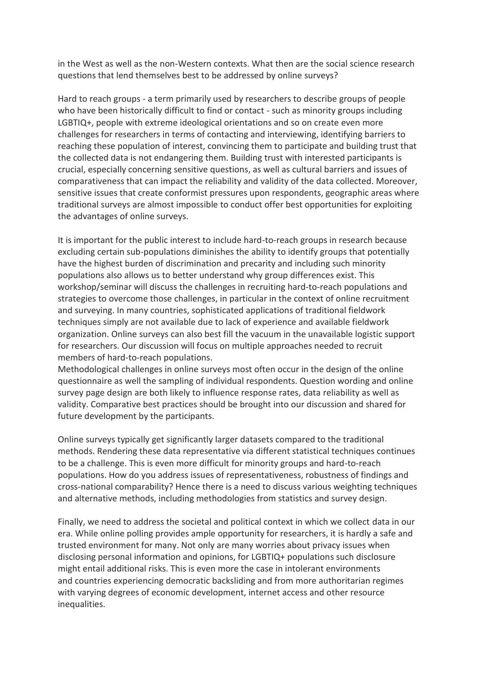in the West as well as the non-Western contexts. What then are the social science research questions that lend themselves best to be addressed by online surveys?

Hard to reach groups - a term primarily used by researchers to describe groups of people who have been historically difficult to find or contact - such as minority groups including LGBTIQ+, people with extreme ideological orientations and so on create even more challenges for researchers in terms of contacting and interviewing, identifying barriers to reaching these population of interest, convincing them to participate and building trust that the collected data is not endangering them. Building trust with interested participants is crucial, especially concerning sensitive questions, as well as cultural barriers and issues of comparativeness that can impact the reliability and validity of the data collected. Moreover, sensitive issues that create conformist pressures upon respondents, geographic areas where traditional surveys are almost impossible to conduct offer best opportunities for exploiting the advantages of online surveys.

It is important for the public interest to include hard-to-reach groups in research because excluding certain sub-populations diminishes the ability to identify groups that potentially have the highest burden of discrimination and precarity and including such minority populations also allows us to better understand why group differences exist. This workshop/seminar will discuss the challenges in recruiting hard-to-reach populations and strategies to overcome those challenges, in particular in the context of online recruitment and surveying. In many countries, sophisticated applications of traditional fieldwork techniques simply are not available due to lack of experience and available fieldwork organization. Online surveys can also best fill the vacuum in the unavailable logistic support for researchers. Our discussion will focus on multiple approaches needed to recruit members of hard-to-reach populations.

Methodological challenges in online surveys most often occur in the design of the online questionnaire as well the sampling of individual respondents. Question wording and online survey page design are both likely to influence response rates, data reliability as well as validity. Comparative best practices should be brought into our discussion and shared for future development by the participants.

Online surveys typically get significantly larger datasets compared to the traditional methods. Rendering these data representative via different statistical techniques continues to be a challenge. This is even more difficult for minority groups and hard-to-reach populations. How do you address issues of representativeness, robustness of findings and cross-national comparability? Hence there is a need to discuss various weighting techniques and alternative methods, including methodologies from statistics and survey design.

Finally, we need to address the societal and political context in which we collect data in our era. While online polling provides ample opportunity for researchers, it is hardly a safe and trusted environment for many. Not only are many worries about privacy issues when disclosing personal information and opinions, for LGBTIQ+ populations such disclosure might entail additional risks. This is even more the case in intolerant environments and countries experiencing democratic backsliding and from more authoritarian regimes with varying degrees of economic development, internet access and other resource inequalities.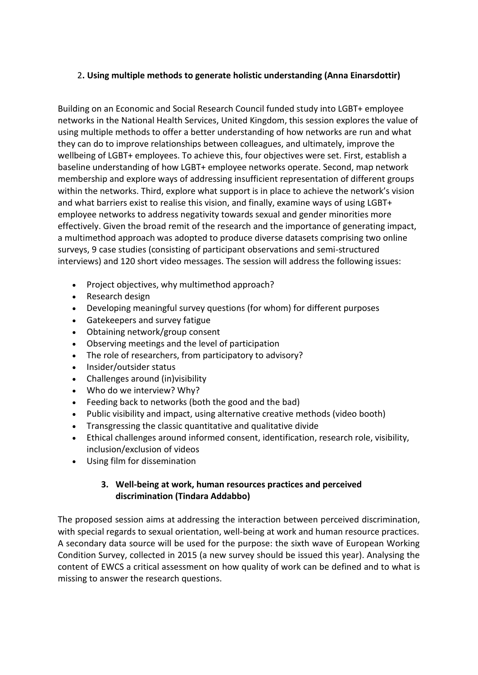## 2**. Using multiple methods to generate holistic understanding (Anna Einarsdottir)**

Building on an Economic and Social Research Council funded study into LGBT+ employee networks in the National Health Services, United Kingdom, this session explores the value of using multiple methods to offer a better understanding of how networks are run and what they can do to improve relationships between colleagues, and ultimately, improve the wellbeing of LGBT+ employees. To achieve this, four objectives were set. First, establish a baseline understanding of how LGBT+ employee networks operate. Second, map network membership and explore ways of addressing insufficient representation of different groups within the networks. Third, explore what support is in place to achieve the network's vision and what barriers exist to realise this vision, and finally, examine ways of using LGBT+ employee networks to address negativity towards sexual and gender minorities more effectively. Given the broad remit of the research and the importance of generating impact, a multimethod approach was adopted to produce diverse datasets comprising two online surveys, 9 case studies (consisting of participant observations and semi-structured interviews) and 120 short video messages. The session will address the following issues:

- Project objectives, why multimethod approach?
- Research design
- Developing meaningful survey questions (for whom) for different purposes
- Gatekeepers and survey fatigue
- Obtaining network/group consent
- Observing meetings and the level of participation
- The role of researchers, from participatory to advisory?
- Insider/outsider status
- Challenges around (in)visibility
- Who do we interview? Why?
- Feeding back to networks (both the good and the bad)
- Public visibility and impact, using alternative creative methods (video booth)
- Transgressing the classic quantitative and qualitative divide
- Ethical challenges around informed consent, identification, research role, visibility, inclusion/exclusion of videos
- Using film for dissemination

# **3. Well-being at work, human resources practices and perceived discrimination (Tindara Addabbo)**

The proposed session aims at addressing the interaction between perceived discrimination, with special regards to sexual orientation, well-being at work and human resource practices. A secondary data source will be used for the purpose: the sixth wave of European Working Condition Survey, collected in 2015 (a new survey should be issued this year). Analysing the content of EWCS a critical assessment on how quality of work can be defined and to what is missing to answer the research questions.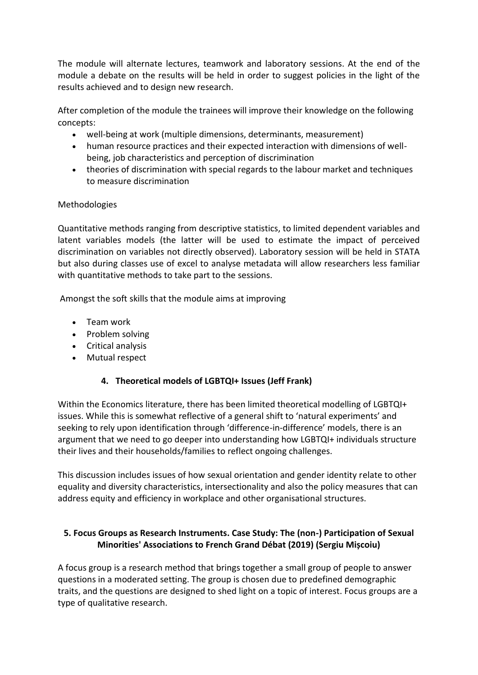The module will alternate lectures, teamwork and laboratory sessions. At the end of the module a debate on the results will be held in order to suggest policies in the light of the results achieved and to design new research.

After completion of the module the trainees will improve their knowledge on the following concepts:

- well-being at work (multiple dimensions, determinants, measurement)
- human resource practices and their expected interaction with dimensions of wellbeing, job characteristics and perception of discrimination
- theories of discrimination with special regards to the labour market and techniques to measure discrimination

## Methodologies

Quantitative methods ranging from descriptive statistics, to limited dependent variables and latent variables models (the latter will be used to estimate the impact of perceived discrimination on variables not directly observed). Laboratory session will be held in STATA but also during classes use of excel to analyse metadata will allow researchers less familiar with quantitative methods to take part to the sessions.

Amongst the soft skills that the module aims at improving

- Team work
- Problem solving
- Critical analysis
- Mutual respect

## **4. Theoretical models of LGBTQI+ Issues (Jeff Frank)**

Within the Economics literature, there has been limited theoretical modelling of LGBTQI+ issues. While this is somewhat reflective of a general shift to 'natural experiments' and seeking to rely upon identification through 'difference-in-difference' models, there is an argument that we need to go deeper into understanding how LGBTQI+ individuals structure their lives and their households/families to reflect ongoing challenges.

This discussion includes issues of how sexual orientation and gender identity relate to other equality and diversity characteristics, intersectionality and also the policy measures that can address equity and efficiency in workplace and other organisational structures.

## **5. Focus Groups as Research Instruments. Case Study: The (non-) Participation of Sexual Minorities' Associations to French Grand Débat (2019) (Sergiu Mișcoiu)**

A focus group is a research method that brings together a small group of people to answer questions in a moderated setting. The group is chosen due to predefined demographic traits, and the questions are designed to shed light on a topic of interest. Focus groups are a type of qualitative research.